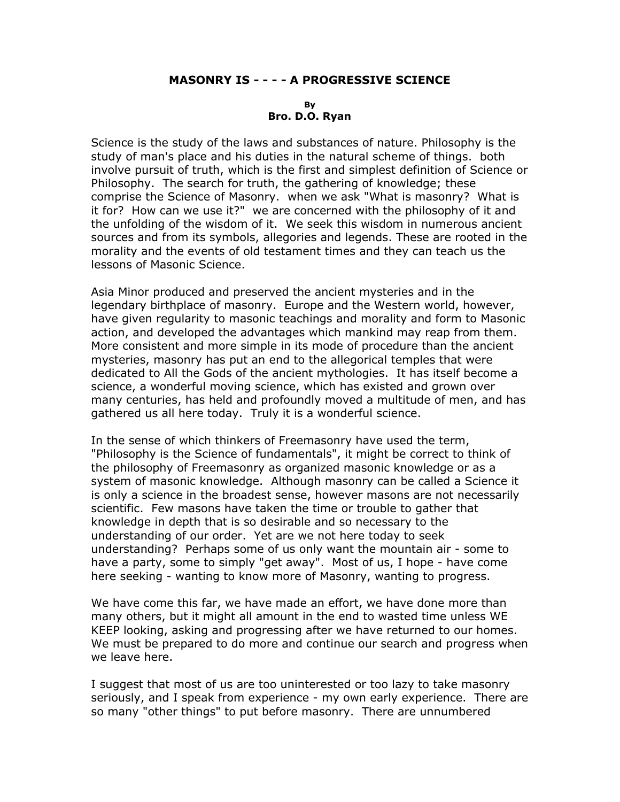## **MASONRY IS - - - - A PROGRESSIVE SCIENCE**

## **By Bro. D.O. Ryan**

Science is the study of the laws and substances of nature. Philosophy is the study of man's place and his duties in the natural scheme of things. both involve pursuit of truth, which is the first and simplest definition of Science or Philosophy. The search for truth, the gathering of knowledge; these comprise the Science of Masonry. when we ask "What is masonry? What is it for? How can we use it?" we are concerned with the philosophy of it and the unfolding of the wisdom of it. We seek this wisdom in numerous ancient sources and from its symbols, allegories and legends. These are rooted in the morality and the events of old testament times and they can teach us the lessons of Masonic Science.

Asia Minor produced and preserved the ancient mysteries and in the legendary birthplace of masonry. Europe and the Western world, however, have given regularity to masonic teachings and morality and form to Masonic action, and developed the advantages which mankind may reap from them. More consistent and more simple in its mode of procedure than the ancient mysteries, masonry has put an end to the allegorical temples that were dedicated to All the Gods of the ancient mythologies. It has itself become a science, a wonderful moving science, which has existed and grown over many centuries, has held and profoundly moved a multitude of men, and has gathered us all here today. Truly it is a wonderful science.

In the sense of which thinkers of Freemasonry have used the term, "Philosophy is the Science of fundamentals", it might be correct to think of the philosophy of Freemasonry as organized masonic knowledge or as a system of masonic knowledge. Although masonry can be called a Science it is only a science in the broadest sense, however masons are not necessarily scientific. Few masons have taken the time or trouble to gather that knowledge in depth that is so desirable and so necessary to the understanding of our order. Yet are we not here today to seek understanding? Perhaps some of us only want the mountain air - some to have a party, some to simply "get away". Most of us, I hope - have come here seeking - wanting to know more of Masonry, wanting to progress.

We have come this far, we have made an effort, we have done more than many others, but it might all amount in the end to wasted time unless WE KEEP looking, asking and progressing after we have returned to our homes. We must be prepared to do more and continue our search and progress when we leave here.

I suggest that most of us are too uninterested or too lazy to take masonry seriously, and I speak from experience - my own early experience. There are so many "other things" to put before masonry. There are unnumbered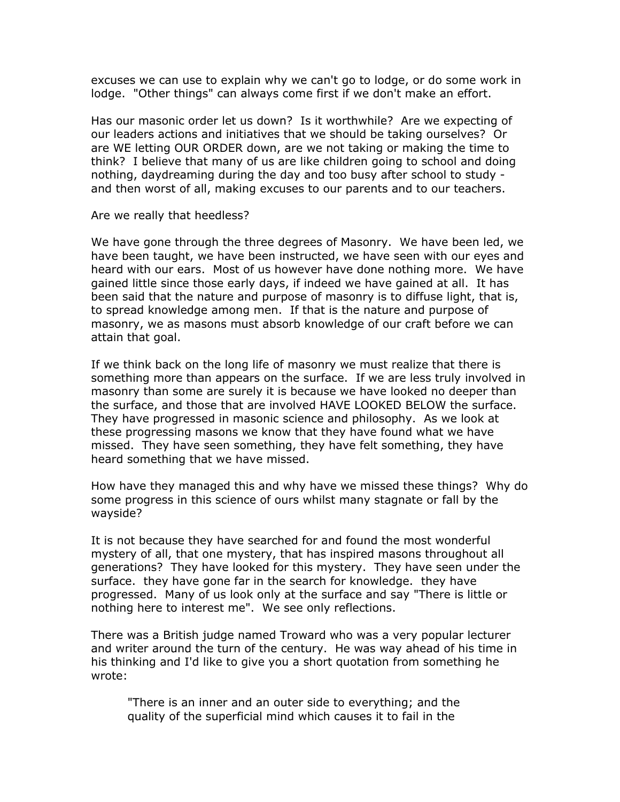excuses we can use to explain why we can't go to lodge, or do some work in lodge. "Other things" can always come first if we don't make an effort.

Has our masonic order let us down? Is it worthwhile? Are we expecting of our leaders actions and initiatives that we should be taking ourselves? Or are WE letting OUR ORDER down, are we not taking or making the time to think? I believe that many of us are like children going to school and doing nothing, daydreaming during the day and too busy after school to study and then worst of all, making excuses to our parents and to our teachers.

Are we really that heedless?

We have gone through the three degrees of Masonry. We have been led, we have been taught, we have been instructed, we have seen with our eyes and heard with our ears. Most of us however have done nothing more. We have gained little since those early days, if indeed we have gained at all. It has been said that the nature and purpose of masonry is to diffuse light, that is, to spread knowledge among men. If that is the nature and purpose of masonry, we as masons must absorb knowledge of our craft before we can attain that goal.

If we think back on the long life of masonry we must realize that there is something more than appears on the surface. If we are less truly involved in masonry than some are surely it is because we have looked no deeper than the surface, and those that are involved HAVE LOOKED BELOW the surface. They have progressed in masonic science and philosophy. As we look at these progressing masons we know that they have found what we have missed. They have seen something, they have felt something, they have heard something that we have missed.

How have they managed this and why have we missed these things? Why do some progress in this science of ours whilst many stagnate or fall by the wayside?

It is not because they have searched for and found the most wonderful mystery of all, that one mystery, that has inspired masons throughout all generations? They have looked for this mystery. They have seen under the surface. they have gone far in the search for knowledge. they have progressed. Many of us look only at the surface and say "There is little or nothing here to interest me". We see only reflections.

There was a British judge named Troward who was a very popular lecturer and writer around the turn of the century. He was way ahead of his time in his thinking and I'd like to give you a short quotation from something he wrote:

"There is an inner and an outer side to everything; and the quality of the superficial mind which causes it to fail in the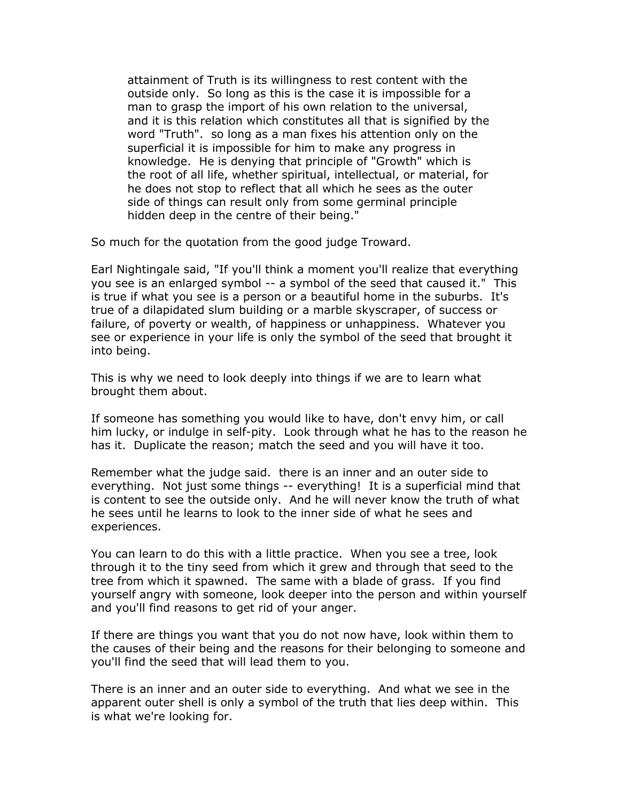attainment of Truth is its willingness to rest content with the outside only. So long as this is the case it is impossible for a man to grasp the import of his own relation to the universal, and it is this relation which constitutes all that is signified by the word "Truth". so long as a man fixes his attention only on the superficial it is impossible for him to make any progress in knowledge. He is denying that principle of "Growth" which is the root of all life, whether spiritual, intellectual, or material, for he does not stop to reflect that all which he sees as the outer side of things can result only from some germinal principle hidden deep in the centre of their being."

So much for the quotation from the good judge Troward.

Earl Nightingale said, "If you'll think a moment you'll realize that everything you see is an enlarged symbol -- a symbol of the seed that caused it." This is true if what you see is a person or a beautiful home in the suburbs. It's true of a dilapidated slum building or a marble skyscraper, of success or failure, of poverty or wealth, of happiness or unhappiness. Whatever you see or experience in your life is only the symbol of the seed that brought it into being.

This is why we need to look deeply into things if we are to learn what brought them about.

If someone has something you would like to have, don't envy him, or call him lucky, or indulge in self-pity. Look through what he has to the reason he has it. Duplicate the reason; match the seed and you will have it too.

Remember what the judge said. there is an inner and an outer side to everything. Not just some things -- everything! It is a superficial mind that is content to see the outside only. And he will never know the truth of what he sees until he learns to look to the inner side of what he sees and experiences.

You can learn to do this with a little practice. When you see a tree, look through it to the tiny seed from which it grew and through that seed to the tree from which it spawned. The same with a blade of grass. If you find yourself angry with someone, look deeper into the person and within yourself and you'll find reasons to get rid of your anger.

If there are things you want that you do not now have, look within them to the causes of their being and the reasons for their belonging to someone and you'll find the seed that will lead them to you.

There is an inner and an outer side to everything. And what we see in the apparent outer shell is only a symbol of the truth that lies deep within. This is what we're looking for.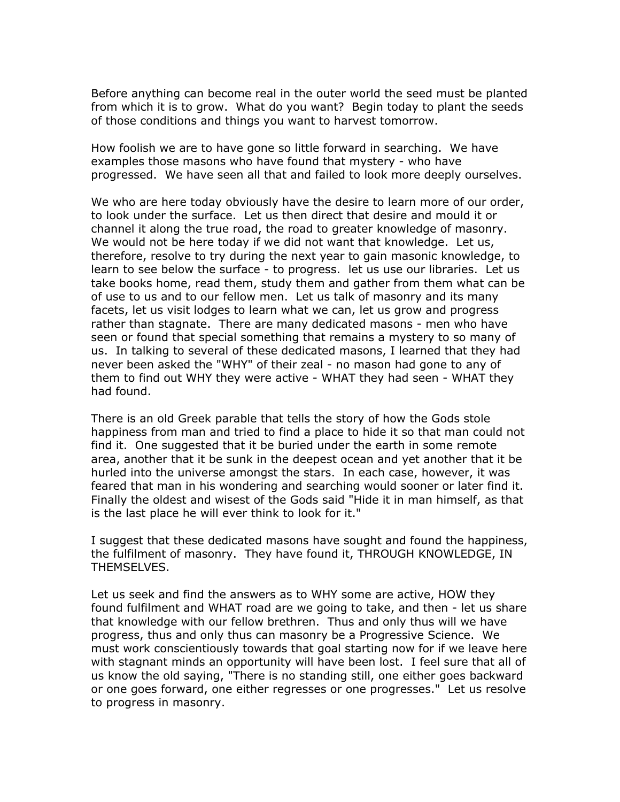Before anything can become real in the outer world the seed must be planted from which it is to grow. What do you want? Begin today to plant the seeds of those conditions and things you want to harvest tomorrow.

How foolish we are to have gone so little forward in searching. We have examples those masons who have found that mystery - who have progressed. We have seen all that and failed to look more deeply ourselves.

We who are here today obviously have the desire to learn more of our order, to look under the surface. Let us then direct that desire and mould it or channel it along the true road, the road to greater knowledge of masonry. We would not be here today if we did not want that knowledge. Let us, therefore, resolve to try during the next year to gain masonic knowledge, to learn to see below the surface - to progress. let us use our libraries. Let us take books home, read them, study them and gather from them what can be of use to us and to our fellow men. Let us talk of masonry and its many facets, let us visit lodges to learn what we can, let us grow and progress rather than stagnate. There are many dedicated masons - men who have seen or found that special something that remains a mystery to so many of us. In talking to several of these dedicated masons, I learned that they had never been asked the "WHY" of their zeal - no mason had gone to any of them to find out WHY they were active - WHAT they had seen - WHAT they had found.

There is an old Greek parable that tells the story of how the Gods stole happiness from man and tried to find a place to hide it so that man could not find it. One suggested that it be buried under the earth in some remote area, another that it be sunk in the deepest ocean and yet another that it be hurled into the universe amongst the stars. In each case, however, it was feared that man in his wondering and searching would sooner or later find it. Finally the oldest and wisest of the Gods said "Hide it in man himself, as that is the last place he will ever think to look for it."

I suggest that these dedicated masons have sought and found the happiness, the fulfilment of masonry. They have found it, THROUGH KNOWLEDGE, IN THEMSELVES.

Let us seek and find the answers as to WHY some are active, HOW they found fulfilment and WHAT road are we going to take, and then - let us share that knowledge with our fellow brethren. Thus and only thus will we have progress, thus and only thus can masonry be a Progressive Science. We must work conscientiously towards that goal starting now for if we leave here with stagnant minds an opportunity will have been lost. I feel sure that all of us know the old saying, "There is no standing still, one either goes backward or one goes forward, one either regresses or one progresses." Let us resolve to progress in masonry.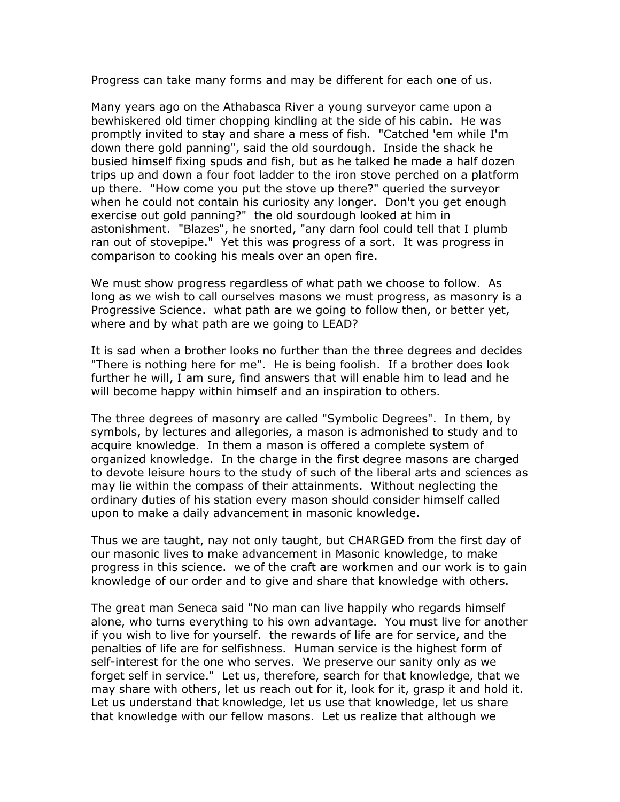Progress can take many forms and may be different for each one of us.

Many years ago on the Athabasca River a young surveyor came upon a bewhiskered old timer chopping kindling at the side of his cabin. He was promptly invited to stay and share a mess of fish. "Catched 'em while I'm down there gold panning", said the old sourdough. Inside the shack he busied himself fixing spuds and fish, but as he talked he made a half dozen trips up and down a four foot ladder to the iron stove perched on a platform up there. "How come you put the stove up there?" queried the surveyor when he could not contain his curiosity any longer. Don't you get enough exercise out gold panning?" the old sourdough looked at him in astonishment. "Blazes", he snorted, "any darn fool could tell that I plumb ran out of stovepipe." Yet this was progress of a sort. It was progress in comparison to cooking his meals over an open fire.

We must show progress regardless of what path we choose to follow. As long as we wish to call ourselves masons we must progress, as masonry is a Progressive Science. what path are we going to follow then, or better yet, where and by what path are we going to LEAD?

It is sad when a brother looks no further than the three degrees and decides "There is nothing here for me". He is being foolish. If a brother does look further he will, I am sure, find answers that will enable him to lead and he will become happy within himself and an inspiration to others.

The three degrees of masonry are called "Symbolic Degrees". In them, by symbols, by lectures and allegories, a mason is admonished to study and to acquire knowledge. In them a mason is offered a complete system of organized knowledge. In the charge in the first degree masons are charged to devote leisure hours to the study of such of the liberal arts and sciences as may lie within the compass of their attainments. Without neglecting the ordinary duties of his station every mason should consider himself called upon to make a daily advancement in masonic knowledge.

Thus we are taught, nay not only taught, but CHARGED from the first day of our masonic lives to make advancement in Masonic knowledge, to make progress in this science. we of the craft are workmen and our work is to gain knowledge of our order and to give and share that knowledge with others.

The great man Seneca said "No man can live happily who regards himself alone, who turns everything to his own advantage. You must live for another if you wish to live for yourself. the rewards of life are for service, and the penalties of life are for selfishness. Human service is the highest form of self-interest for the one who serves. We preserve our sanity only as we forget self in service." Let us, therefore, search for that knowledge, that we may share with others, let us reach out for it, look for it, grasp it and hold it. Let us understand that knowledge, let us use that knowledge, let us share that knowledge with our fellow masons. Let us realize that although we